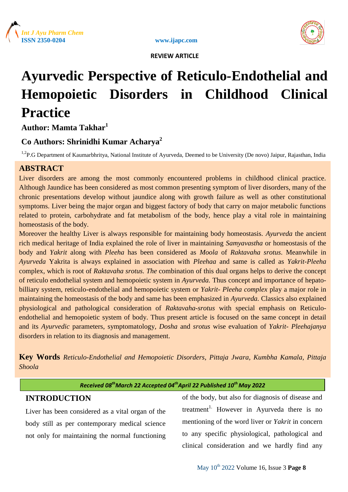





# **Ayurvedic Perspective of Reticulo-Endothelial and Hemopoietic Disorders in Childhood Clinical Practice**

**Author: Mamta Takhar<sup>1</sup>**

# **Co Authors: Shrinidhi Kumar Acharya<sup>2</sup>**

<sup>1,2</sup>P.G Department of Kaumarbhritya, National Institute of Ayurveda, Deemed to be University (De novo) Jaipur, Rajasthan, India

# **ABSTRACT**

Liver disorders are among the most commonly encountered problems in childhood clinical practice. Although Jaundice has been considered as most common presenting symptom of liver disorders, many of the chronic presentations develop without jaundice along with growth failure as well as other constitutional symptoms. Liver being the major organ and biggest factory of body that carry on major metabolic functions related to protein, carbohydrate and fat metabolism of the body, hence play a vital role in maintaining homeostasis of the body.

Moreover the healthy Liver is always responsible for maintaining body homeostasis. *Ayurveda* the ancient rich medical heritage of India explained the role of liver in maintaining *Samyavastha* or homeostasis of the body and *Yakrit* along with *Pleeha* has been considered as *Moola* of *Raktavaha srotus*. Meanwhile in *Ayurveda* Yakrita is always explained in association with *Pleehaa* and same is called as *Yakrit*-*Pleeha* complex, which is root of *Raktavaha srotus. The* combination of this dual organs helps to derive the concept of reticulo endothelial system and hemopoietic system in *Ayurveda.* Thus concept and importance of hepatobilliary system, reticulo-endothelial and hemopoietic system or *Yakrit- Pleeha complex* play a major role in maintaining the homeostasis of the body and same has been emphasized in *Ayurveda.* Classics also explained physiological and pathological consideration of *Raktavaha-srotus* with special emphasis on Reticuloendothelial and hemopoietic system of body. Thus present article is focused on the same concept in detail and its *Ayurvedic* parameters, symptomatology*, Dosha* and *srotus* wise evaluation of *Yakrit*- *Pleehajanya* disorders in relation to its diagnosis and management.

**Key Words** *Reticulo-Endothelial and Hemopoietic Disorders, Pittaja Jwara, Kumbha Kamala, Pittaja Shoola*

| Received 08 Widrch 22 Accepted 04 April 22 Published 10 Widy 2022 |                                        |
|-------------------------------------------------------------------|----------------------------------------|
| <b>INTRODUCTION</b>                                               | of the body, but also for diagnosis of |

*Received 08thMarch 22 Accepted 04thApril 22 Published 10th May 2022*

Liver has been considered as a vital organ of the body still as per contemporary medical science not only for maintaining the normal functioning

of disease and treatment<sup>1.</sup> However in Ayurveda there is no mentioning of the word liver or *Yakrit* in concern to any specific physiological, pathological and clinical consideration and we hardly find any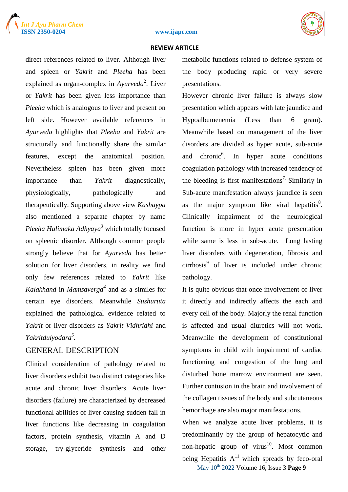





direct references related to liver. Although liver and spleen or *Yakrit* and *Pleeha* has been explained as organ-complex in *Ayurveda*<sup>2</sup>. Liver or *Yakrit* has been given less importance than *Pleeha* which is analogous to liver and present on left side. However available references in *Ayurveda* highlights that *Pleeha* and *Yakrit* are structurally and functionally share the similar features, except the anatomical position. Nevertheless spleen has been given more importance than *Yakrit* diagnostically, physiologically, pathologically and therapeutically. Supporting above view *Kashaypa* also mentioned a separate chapter by name *Pleeha Halimaka Adhyaya<sup>3</sup>* which totally focused on spleenic disorder. Although common people strongly believe that for *Ayurveda* has better solution for liver disorders, in reality we find only few references related to *Yakrit* like *Kalakhand* in *Mamsaverga<sup>4</sup>* and as a similes for certain eye disorders. Meanwhile *Sushuruta* explained the pathological evidence related to *Yakrit* or liver disorders as *Yakrit Vidhridhi* and *Yakritdulyodara<sup>5</sup> .* 

### GENERAL DESCRIPTION

Clinical consideration of pathology related to liver disorders exhibit two distinct categories like acute and chronic liver disorders. Acute liver disorders (failure) are characterized by decreased functional abilities of liver causing sudden fall in liver functions like decreasing in coagulation factors, protein synthesis, vitamin A and D storage, try-glyceride synthesis and other

metabolic functions related to defense system of the body producing rapid or very severe presentations.

However chronic liver failure is always slow presentation which appears with late jaundice and Hypoalbumenemia (Less than 6 gram). Meanwhile based on management of the liver disorders are divided as hyper acute, sub-acute and chronic<sup>6</sup>. In hyper acute conditions coagulation pathology with increased tendency of the bleeding is first manifestations<sup>7</sup>. Similarly in Sub-acute manifestation always jaundice is seen as the major symptom like viral hepatitis $8$ . Clinically impairment of the neurological function is more in hyper acute presentation while same is less in sub-acute. Long lasting liver disorders with degeneration, fibrosis and cirrhosis<sup>9</sup> of liver is included under chronic pathology.

It is quite obvious that once involvement of liver it directly and indirectly affects the each and every cell of the body. Majorly the renal function is affected and usual diuretics will not work. Meanwhile the development of constitutional symptoms in child with impairment of cardiac functioning and congestion of the lung and disturbed bone marrow environment are seen. Further contusion in the brain and involvement of the collagen tissues of the body and subcutaneous hemorrhage are also major manifestations.

May 10th 2022 Volume 16, Issue 3 **Page 9** When we analyze acute liver problems, it is predominantly by the group of hepatocytic and non-hepatic group of virus $10$ . Most common being Hepatitis  $A<sup>11</sup>$  which spreads by feco-oral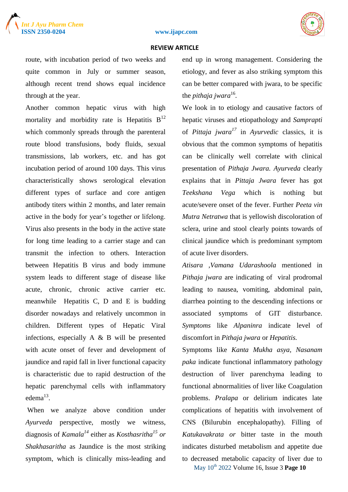



route, with incubation period of two weeks and quite common in July or summer season, although recent trend shows equal incidence through at the year.

Another common hepatic virus with high mortality and morbidity rate is Hepatitis  $B<sup>12</sup>$ which commonly spreads through the parenteral route blood transfusions, body fluids, sexual transmissions, lab workers, etc. and has got incubation period of around 100 days. This virus characteristically shows serological elevation different types of surface and core antigen antibody titers within 2 months, and later remain active in the body for year's together or lifelong. Virus also presents in the body in the active state for long time leading to a carrier stage and can transmit the infection to others. Interaction between Hepatitis B virus and body immune system leads to different stage of disease like acute, chronic, chronic active carrier etc. meanwhile Hepatitis C, D and E is budding disorder nowadays and relatively uncommon in children. Different types of Hepatic Viral infections, especially A & B will be presented with acute onset of fever and development of jaundice and rapid fall in liver functional capacity is characteristic due to rapid destruction of the hepatic parenchymal cells with inflammatory  $edema<sup>13</sup>$ .

When we analyze above condition under *Ayurveda* perspective, mostly we witness, diagnosis of *Kamala<sup>14</sup>* either as *Kosthasritha<sup>15</sup> or Shakhasaritha* as Jaundice is the most striking symptom, which is clinically miss-leading and

end up in wrong management. Considering the etiology, and fever as also striking symptom this can be better compared with jwara, to be specific the *pithaja jwara*<sup>16</sup>.

We look in to etiology and causative factors of hepatic viruses and etiopathology and *Samprapti* of *Pittaja jwara<sup>17</sup>* in *Ayurvedic* classics, it is obvious that the common symptoms of hepatitis can be clinically well correlate with clinical presentation of *Pithaja Jwara. Ayurveda* clearly explains that in *Pittaja Jwara* fever has got *Teekshana Vega* which is nothing but acute/severe onset of the fever. Further *Peeta vin Mutra Netratwa* that is yellowish discoloration of sclera, urine and stool clearly points towards of clinical jaundice which is predominant symptom of acute liver disorders.

*Atisara ,Vamana Udarashoola* mentioned in *Pithaja jwara* are indicating ofviral prodromal leading to nausea, vomiting, abdominal pain, diarrhea pointing to the descending infections or associated symptoms of GIT disturbance. *Symptoms* like *Alpaninra* indicate level of discomfort in *Pithaja jwara* or *Hepatitis.* 

May 10th 2022 Volume 16, Issue 3 **Page 10** Symptoms like *Kanta Mukha asya, Nasanam paka* indicate functional inflammatory pathology destruction of liver parenchyma leading to functional abnormalities of liver like Coagulation problems. *Pralapa* or delirium indicates late complications of hepatitis with involvement of CNS (Bilurubin encephalopathy). Filling of *Katukavakrata or* bitter taste in the mouth indicates disturbed metabolism and appetite due to decreased metabolic capacity of liver due to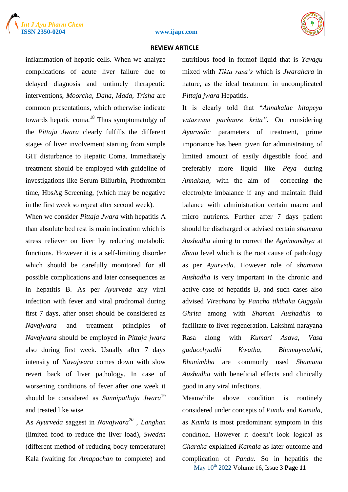





inflammation of hepatic cells. When we analyze complications of acute liver failure due to delayed diagnosis and untimely therapeutic interventions, *Moorcha, Daha, Mada, Trisha* are common presentations, which otherwise indicate towards hepatic coma.<sup>18</sup> Thus symptomatolgy of the *Pittaja Jwara* clearly fulfills the different stages of liver involvement starting from simple GIT disturbance to Hepatic Coma. Immediately treatment should be employed with guideline of investigations like Serum Biliurbin, Prothrombin time, HbsAg Screening, (which may be negative in the first week so repeat after second week).

When we consider *Pittaja Jwara* with hepatitis A than absolute bed rest is main indication which is stress reliever on liver by reducing metabolic functions. However it is a self-limiting disorder which should be carefully monitored for all possible complications and later consequences as in hepatitis B. As per *Ayurveda* any viral infection with fever and viral prodromal during first 7 days, after onset should be considered as *Navajwara* and treatment principles of *Navajwara* should be employed in *Pittaja jwara* also during first week. Usually after 7 days intensity of *Navajwara* comes down with slow revert back of liver pathology. In case of worsening conditions of fever after one week it should be considered as *Sannipathaja Jwara*<sup>19</sup> and treated like wise*.*

As *Ayurveda* saggest in *Navajwara<sup>20</sup>* , *Langhan*  (limited food to reduce the liver load), *Swedan*  (different method of reducing body temperature) Kala (waiting for *Amapachan* to complete) and

nutritious food in formof liquid that is *Yavagu*  mixed with *Tikta rasa's* which is *Jwarahara* in nature, as the ideal treatment in uncomplicated *Pittaja jwara* Hepatitis.

It is clearly told that "*Annakalae hitapeya yataswam pachanre krita"*. On considering *Ayurvedic* parameters of treatment, prime importance has been given for administrating of limited amount of easily digestible food and preferably more liquid like *Peya* during *Annakala,* with the aim of correcting the electrolyte imbalance if any and maintain fluid balance with administration certain macro and micro nutrients. Further after 7 days patient should be discharged or advised certain *shamana Aushadha* aiming to correct the *Agnimandhya* at *dhatu* level which is the root cause of pathology as per *Ayurveda*. However role of *shamana Aushadha* is very important in the chronic and active case of hepatitis B, and such cases also advised *Virechana* by *Pancha tikthaka Guggulu Ghrita* among with *Shaman Aushadhis* to facilitate to liver regeneration*.* Lakshmi narayana Rasa along with *Kumari Asava*, *Vasa guducchyadhi Kwatha, Bhumaymalaki, Bhunimbha* are commonly used *Shamana Aushadha* with beneficial effects and clinically good in any viral infections.

May 10th 2022 Volume 16, Issue 3 **Page 11** Meanwhile above condition is routinely considered under concepts of *Pandu* and *Kamala,*  as *Kamla* is most predominant symptom in this condition. However it doesn't look logical as *Charaka* explained *Kamala* as later outcome and complication of *Pandu.* So in hepatitis the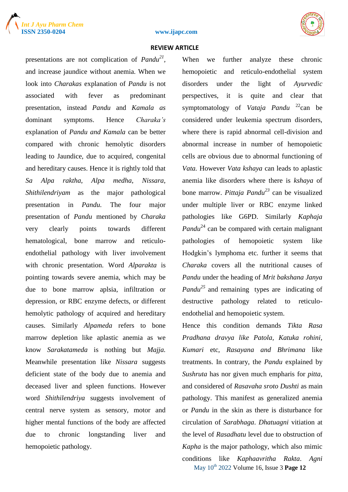





presentations are not complication of *Pandu<sup>21</sup>*, and increase jaundice without anemia. When we look into *Charakas* explanation of *Pandu* is not associated with fever as predominant presentation, instead *Pandu* and *Kamala as*  dominant symptoms. Hence *Charaka's* explanation of *Pandu and Kamala* can be better compared with chronic hemolytic disorders leading to Jaundice, due to acquired, congenital and hereditary causes. Hence it is rightly told that *Sa Alpa raktha*, *Alpa medha*, *Nissara*, *Shithilendriyam* as the major pathological presentation in *Pandu.* The four major presentation of *Pandu* mentioned by *Charaka*  very clearly points towards different hematological, bone marrow and reticuloendothelial pathology with liver involvement with chronic presentation. Word *Alparakta* is pointing towards severe anemia, which may be due to bone marrow aplsia, infiltration or depression, or RBC enzyme defects, or different hemolytic pathology of acquired and hereditary causes. Similarly *Alpameda* refers to bone marrow depletion like aplastic anemia as we know *Sarakatameda* is nothing but *Majja.*  Meanwhile presentation like *Nissara* suggests deficient state of the body due to anemia and deceased liver and spleen functions. However word *Shithilendriya* suggests involvement of central nerve system as sensory, motor and higher mental functions of the body are affected due to chronic longstanding liver and hemopoietic pathology.

When we further analyze these chronic hemopoietic and reticulo-endothelial system disorders under the light of *Ayurvedic* perspectives, it is quite and clear that symptomatology of *Vataja Pandu* <sup>22</sup>can be considered under leukemia spectrum disorders, where there is rapid abnormal cell-division and abnormal increase in number of hemopoietic cells are obvious due to abnormal functioning of *Vata.* However *Vata kshaya* can leads to aplastic anemia like disorders where there is *kshaya* of bone marrow. *Pittaja Pandu<sup>23</sup>* can be visualized under multiple liver or RBC enzyme linked pathologies like G6PD. Similarly *Kaphaja Pandu*<sup>24</sup> can be compared with certain malignant pathologies of hemopoietic system like Hodgkin's lymphoma etc. further it seems that *Charaka* covers all the nutritional causes of *Pandu* under the heading of *Mrit bakshana Janya Pandu<sup>25</sup>* and remaining types are indicating of destructive pathology related to reticuloendothelial and hemopoietic system.

May 10th 2022 Volume 16, Issue 3 **Page 12** Hence this condition demands *Tikta Rasa Pradhana dravya like Patola, Katuka rohini, Kumari* etc*, Rasayana and Bhrimana* like treatments. In contrary, the *Pandu* explained by *Sushruta* has nor given much empharis for *pitta*, and considered of *Rasavaha sroto Dushti* as main pathology. This manifest as generalized anemia or *Pandu* in the skin as there is disturbance for circulation of *Sarabhaga*. *Dhatuagni* vitiation at the level of *Rasadhatu* level due to obstruction of *Kapha* is the major pathology, which also mimic conditions like *Kaphaavritha Rakta*. *Agni*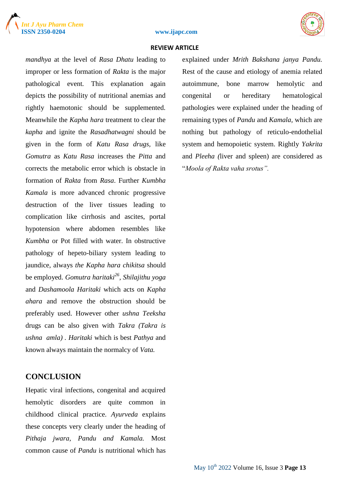





*mandhya* at the level of *Rasa Dhatu* leading to improper or less formation of *Rakta* is the major pathological event*.* This explanation again depicts the possibility of nutritional anemias and rightly haemotonic should be supplemented. Meanwhile the *Kapha hara* treatment to clear the *kapha* and ignite the *Rasadhatwagni* should be given in the form of *Katu Rasa drugs,* like *Gomutra* as *Katu Rasa* increases the *Pitta* and corrects the metabolic error which is obstacle in formation of *Rakta* from *Rasa*. Further *Kumbha Kamala* is more advanced chronic progressive destruction of the liver tissues leading to complication like cirrhosis and ascites, portal hypotension where abdomen resembles like *Kumbha* or Pot filled with water. In obstructive pathology of hepeto-biliary system leading to jaundice, always *the Kapha hara chikitsa* should be employed. *Gomutra haritaki<sup>26</sup>, Shilajithu yoga*  and *Dashamoola Haritaki* which acts on *Kapha ahara* and remove the obstruction should be preferably used. However other *ushna Teeksha* drugs can be also given with *Takra (Takra is ushna amla) . Haritaki* which is best *Pathya* and known always maintain the normalcy of *Vata.*

# **CONCLUSION**

Hepatic viral infections, congenital and acquired hemolytic disorders are quite common in childhood clinical practice. *Ayurveda* explains these concepts very clearly under the heading of *Pithaja jwara, Pandu and Kamala.* Most common cause of *Pandu* is nutritional which has explained under *Mrith Bakshana janya Pandu.*  Rest of the cause and etiology of anemia related autoimmune, bone marrow hemolytic and congenital or hereditary hematological pathologies were explained under the heading of remaining types of *Pandu* and *Kamala,* which are nothing but pathology of reticulo-endothelial system and hemopoietic system. Rightly *Yakrita*  and *Pleeha (*liver and spleen) are considered as "*Moola of Rakta vaha srotus".*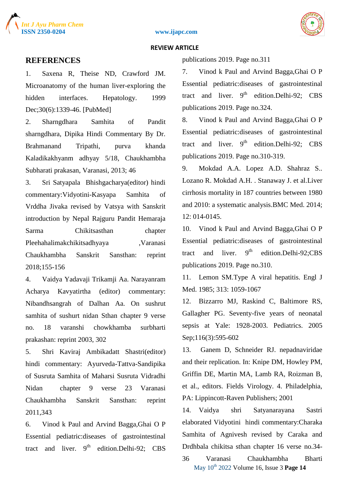





## **REFERENCES**

1. Saxena R, Theise ND, Crawford JM. Microanatomy of the human liver-exploring the hidden interfaces. Hepatology. 1999 Dec;30(6):1339-46. [PubMed]

2. Sharngdhara Samhita of Pandit sharngdhara, Dipika Hindi Commentary By Dr. Brahmanand Tripathi, purva khanda Kaladikakhyanm adhyay 5/18, Chaukhambha Subharati prakasan, Varanasi, 2013; 46

3. Sri Satyapala Bhishgacharya(editor) hindi commentary:Vidyotini-Kasyapa Samhita of Vrddha Jivaka revised by Vatsya with Sanskrit introduction by Nepal Rajguru Pandit Hemaraja Sarma Chikitsasthan chapter Pleehahalimakchikitsadhyaya ,Varanasi Chaukhambha Sanskrit Sansthan: reprint 2018;155-156

4. Vaidya Yadavaji Trikamji Aa. Narayanram Acharya Kavyatirtha (editor) commentary: Nibandhsangrah of Dalhan Aa. On sushrut samhita of sushurt nidan Sthan chapter 9 verse no. 18 varanshi chowkhamba surbharti prakashan: reprint 2003, 302

5. Shri Kaviraj Ambikadatt Shastri(editor) hindi commentary: Ayurveda-Tattva-Sandipika of Susruta Samhita of Maharsi Susruta Vidradhi Nidan chapter 9 verse 23 Varanasi Chaukhambha Sanskrit Sansthan: reprint 2011,343

6. Vinod k Paul and Arvind Bagga,Ghai O P Essential pediatric:diseases of gastrointestinal tract and liver.  $9<sup>th</sup>$  edition.Delhi-92; CBS publications 2019. Page no.311

7. Vinod k Paul and Arvind Bagga,Ghai O P Essential pediatric:diseases of gastrointestinal tract and liver.  $9<sup>th</sup>$  edition.Delhi-92; CBS publications 2019. Page no.324.

8. Vinod k Paul and Arvind Bagga,Ghai O P Essential pediatric:diseases of gastrointestinal tract and liver.  $9<sup>th</sup>$  edition.Delhi-92; CBS publications 2019. Page no.310-319.

9. Mokdad A.A. Lopez A.D. Shahraz S.. Lozano R. Mokdad A.H. . Stanaway J. et al.Liver cirrhosis mortality in 187 countries between 1980 and 2010: a systematic analysis.BMC Med. 2014; 12: 014-0145.

10. Vinod k Paul and Arvind Bagga,Ghai O P Essential pediatric:diseases of gastrointestinal tract and liver.  $9^{th}$  edition.Delhi-92:CBS publications 2019. Page no.310.

11. Lemon SM.Type A viral hepatitis. Engl J Med. 1985; 313: 1059-1067

12. Bizzarro MJ, Raskind C, Baltimore RS, Gallagher PG. Seventy-five years of neonatal sepsis at Yale: 1928-2003. Pediatrics. 2005 Sep;116(3):595-602

13. Ganem D, Schneider RJ. nepadnaviridae and their replication. In: Knipe DM, Howley PM, Griffin DE, Martin MA, Lamb RA, Roizman B, et al., editors. Fields Virology. 4. Philadelphia, PA: Lippincott-Raven Publishers; 2001

14. Vaidya shri Satyanarayana Sastri elaborated Vidyotini hindi commentary:Charaka Samhita of Agnivesh revised by Caraka and Drdhbala chikitsa sthan chapter 16 verse no.34-

May 10th 2022 Volume 16, Issue 3 **Page 14** 36 Varanasi Chaukhambha Bharti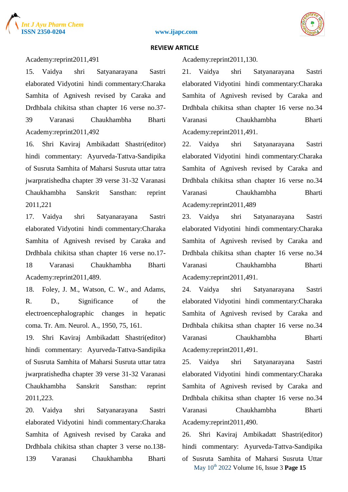





#### Academy:reprint2011,491

15. Vaidya shri Satyanarayana Sastri elaborated Vidyotini hindi commentary:Charaka Samhita of Agnivesh revised by Caraka and Drdhbala chikitsa sthan chapter 16 verse no.37- 39 Varanasi Chaukhambha Bharti Academy:reprint2011,492

16. Shri Kaviraj Ambikadatt Shastri(editor) hindi commentary: Ayurveda-Tattva-Sandipika of Susruta Samhita of Maharsi Susruta uttar tatra jwarpratishedha chapter 39 verse 31-32 Varanasi Chaukhambha Sanskrit Sansthan: reprint 2011,221

17. Vaidya shri Satyanarayana Sastri elaborated Vidyotini hindi commentary:Charaka Samhita of Agnivesh revised by Caraka and Drdhbala chikitsa sthan chapter 16 verse no.17- 18 Varanasi Chaukhambha Bharti Academy:reprint2011,489.

18. Foley, J. M., Watson, C. W., and Adams, R. D., Significance of the electroencephalographic changes in hepatic coma. Tr. Am. Neurol. A., 1950, 75, 161.

19. Shri Kaviraj Ambikadatt Shastri(editor) hindi commentary: Ayurveda-Tattva-Sandipika of Susruta Samhita of Maharsi Susruta uttar tatra jwarpratishedha chapter 39 verse 31-32 Varanasi Chaukhambha Sanskrit Sansthan: reprint 2011,223.

20. Vaidya shri Satyanarayana Sastri elaborated Vidyotini hindi commentary:Charaka Samhita of Agnivesh revised by Caraka and Drdhbala chikitsa sthan chapter 3 verse no.138- 139 Varanasi Chaukhambha Bharti Academy:reprint2011,130.

21. Vaidya shri Satyanarayana Sastri elaborated Vidyotini hindi commentary:Charaka Samhita of Agnivesh revised by Caraka and Drdhbala chikitsa sthan chapter 16 verse no.34 Varanasi Chaukhambha Bharti Academy:reprint2011,491.

22. Vaidya shri Satyanarayana Sastri elaborated Vidyotini hindi commentary:Charaka Samhita of Agnivesh revised by Caraka and Drdhbala chikitsa sthan chapter 16 verse no.34 Varanasi Chaukhambha Bharti Academy:reprint2011,489

23. Vaidya shri Satyanarayana Sastri elaborated Vidyotini hindi commentary:Charaka Samhita of Agnivesh revised by Caraka and Drdhbala chikitsa sthan chapter 16 verse no.34 Varanasi Chaukhambha Bharti Academy:reprint2011,491.

24. Vaidya shri Satyanarayana Sastri elaborated Vidyotini hindi commentary:Charaka Samhita of Agnivesh revised by Caraka and Drdhbala chikitsa sthan chapter 16 verse no.34 Varanasi Chaukhambha Bharti Academy:reprint2011,491.

25. Vaidya shri Satyanarayana Sastri elaborated Vidyotini hindi commentary:Charaka Samhita of Agnivesh revised by Caraka and Drdhbala chikitsa sthan chapter 16 verse no.34 Varanasi Chaukhambha Bharti Academy:reprint2011,490.

26. Shri Kaviraj Ambikadatt Shastri(editor) hindi commentary: Ayurveda-Tattva-Sandipika of Susruta Samhita of Maharsi Susruta Uttar

May 10th 2022 Volume 16, Issue 3 **Page 15**